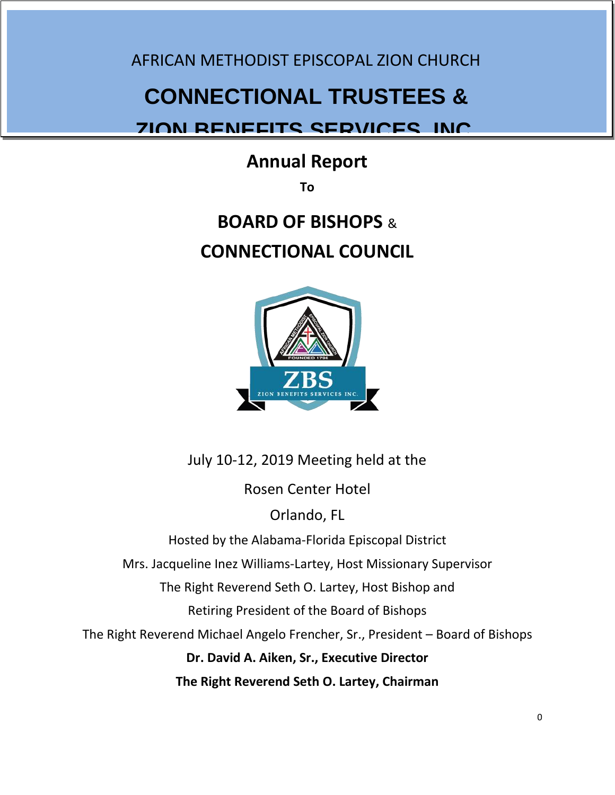AFRICAN METHODIST EPISCOPAL ZION CHURCH

# **CONNECTIONAL TRUSTEES &**

# **ZION BENEFITS SERVICES, INC.**

# **Annual Report**

**To** 

# **BOARD OF BISHOPS** & **CONNECTIONAL COUNCIL**



July 10-12, 2019 Meeting held at the Rosen Center Hotel Orlando, FL Hosted by the Alabama-Florida Episcopal District Mrs. Jacqueline Inez Williams-Lartey, Host Missionary Supervisor The Right Reverend Seth O. Lartey, Host Bishop and Retiring President of the Board of Bishops The Right Reverend Michael Angelo Frencher, Sr., President – Board of Bishops **Dr. David A. Aiken, Sr., Executive Director The Right Reverend Seth O. Lartey, Chairman**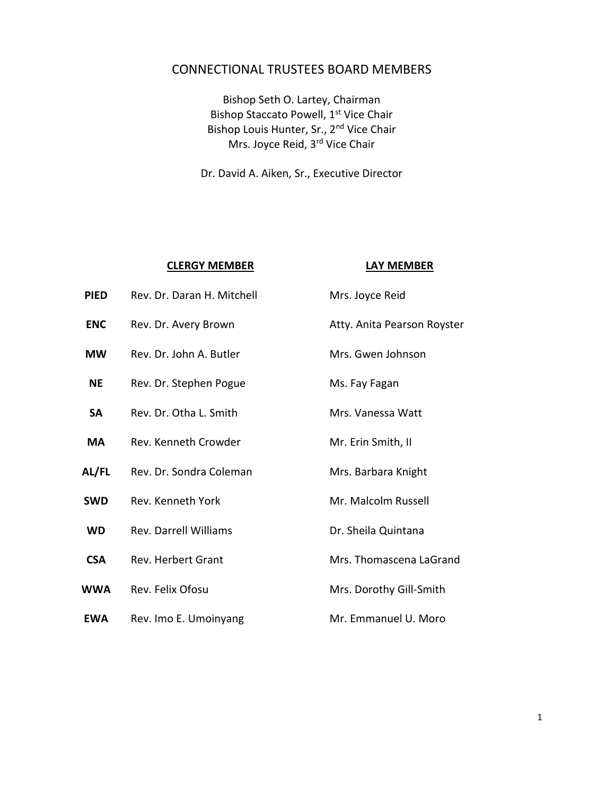# CONNECTIONAL TRUSTEES BOARD MEMBERS

Bishop Seth O. Lartey, Chairman Bishop Staccato Powell, 1<sup>st</sup> Vice Chair Bishop Louis Hunter, Sr., 2nd Vice Chair Mrs. Joyce Reid, 3rd Vice Chair

Dr. David A. Aiken, Sr., Executive Director

|             | <b>CLERGY MEMBER</b>         | LAY MEMBER                  |
|-------------|------------------------------|-----------------------------|
| <b>PIED</b> | Rev. Dr. Daran H. Mitchell   | Mrs. Joyce Reid             |
| <b>ENC</b>  | Rev. Dr. Avery Brown         | Atty. Anita Pearson Royster |
| <b>MW</b>   | Rev. Dr. John A. Butler      | Mrs. Gwen Johnson           |
| <b>NE</b>   | Rev. Dr. Stephen Pogue       | Ms. Fay Fagan               |
| <b>SA</b>   | Rev. Dr. Otha L. Smith       | Mrs. Vanessa Watt           |
| <b>MA</b>   | Rev. Kenneth Crowder         | Mr. Erin Smith, II          |
| AL/FL       | Rev. Dr. Sondra Coleman      | Mrs. Barbara Knight         |
| <b>SWD</b>  | Rev. Kenneth York            | Mr. Malcolm Russell         |
| <b>WD</b>   | <b>Rev. Darrell Williams</b> | Dr. Sheila Quintana         |
| <b>CSA</b>  | <b>Rev. Herbert Grant</b>    | Mrs. Thomascena LaGrand     |
| WWA         | Rev. Felix Ofosu             | Mrs. Dorothy Gill-Smith     |
| <b>EWA</b>  | Rev. Imo E. Umoinyang        | Mr. Emmanuel U. Moro        |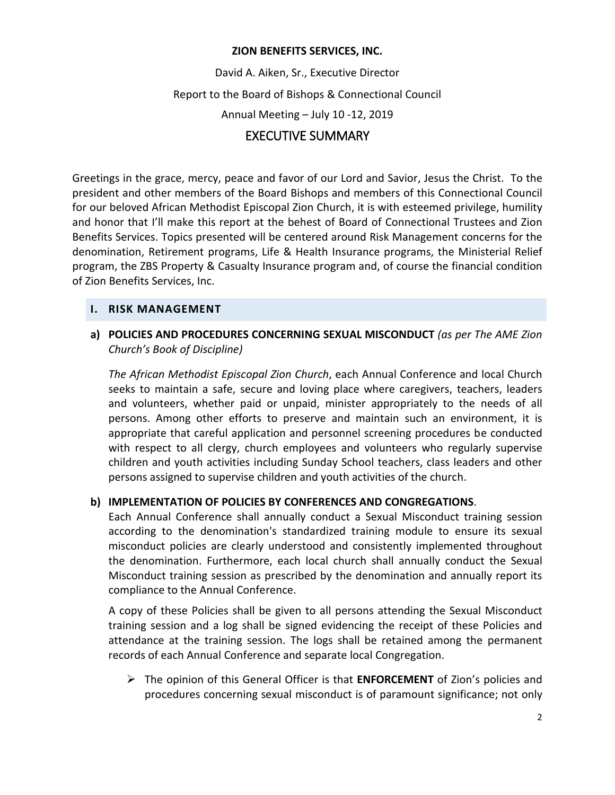#### **ZION BENEFITS SERVICES, INC.**

David A. Aiken, Sr., Executive Director Report to the Board of Bishops & Connectional Council Annual Meeting – July 10 -12, 2019 EXECUTIVE SUMMARY

## Greetings in the grace, mercy, peace and favor of our Lord and Savior, Jesus the Christ. To the president and other members of the Board Bishops and members of this Connectional Council for our beloved African Methodist Episcopal Zion Church, it is with esteemed privilege, humility and honor that I'll make this report at the behest of Board of Connectional Trustees and Zion Benefits Services. Topics presented will be centered around Risk Management concerns for the denomination, Retirement programs, Life & Health Insurance programs, the Ministerial Relief program, the ZBS Property & Casualty Insurance program and, of course the financial condition of Zion Benefits Services, Inc.

#### **I. RISK MANAGEMENT**

### **a) POLICIES AND PROCEDURES CONCERNING SEXUAL MISCONDUCT** *(as per The AME Zion Church's Book of Discipline)*

*The African Methodist Episcopal Zion Church*, each Annual Conference and local Church seeks to maintain a safe, secure and loving place where caregivers, teachers, leaders and volunteers, whether paid or unpaid, minister appropriately to the needs of all persons. Among other efforts to preserve and maintain such an environment, it is appropriate that careful application and personnel screening procedures be conducted with respect to all clergy, church employees and volunteers who regularly supervise children and youth activities including Sunday School teachers, class leaders and other persons assigned to supervise children and youth activities of the church.

#### **b) IMPLEMENTATION OF POLICIES BY CONFERENCES AND CONGREGATIONS**.

Each Annual Conference shall annually conduct a Sexual Misconduct training session according to the denomination's standardized training module to ensure its sexual misconduct policies are clearly understood and consistently implemented throughout the denomination. Furthermore, each local church shall annually conduct the Sexual Misconduct training session as prescribed by the denomination and annually report its compliance to the Annual Conference.

A copy of these Policies shall be given to all persons attending the Sexual Misconduct training session and a log shall be signed evidencing the receipt of these Policies and attendance at the training session. The logs shall be retained among the permanent records of each Annual Conference and separate local Congregation.

 The opinion of this General Officer is that **ENFORCEMENT** of Zion's policies and procedures concerning sexual misconduct is of paramount significance; not only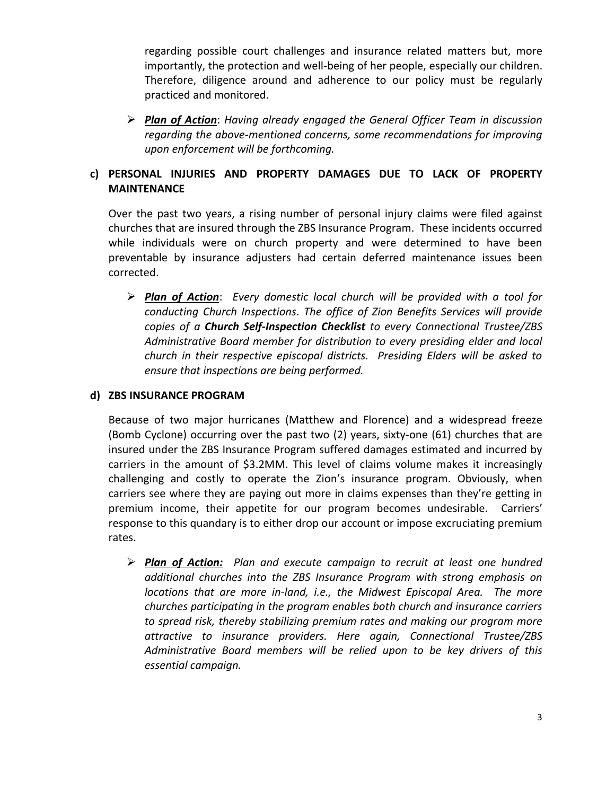regarding possible court challenges and insurance related matters but, more importantly, the protection and well-being of her people, especially our children. Therefore, diligence around and adherence to our policy must be regularly practiced and monitored.

 *Plan of Action*: *Having already engaged the General Officer Team in discussion regarding the above-mentioned concerns, some recommendations for improving upon enforcement will be forthcoming.*

## **c) PERSONAL INJURIES AND PROPERTY DAMAGES DUE TO LACK OF PROPERTY MAINTENANCE**

Over the past two years, a rising number of personal injury claims were filed against churches that are insured through the ZBS Insurance Program. These incidents occurred while individuals were on church property and were determined to have been preventable by insurance adjusters had certain deferred maintenance issues been corrected.

 *Plan of Action*: *Every domestic local church will be provided with a tool for conducting Church Inspections*. *The office of Zion Benefits Services will provide copies of a Church Self-Inspection Checklist to every Connectional Trustee/ZBS Administrative Board member for distribution to every presiding elder and local church in their respective episcopal districts. Presiding Elders will be asked to ensure that inspections are being performed.* 

#### **d) ZBS INSURANCE PROGRAM**

Because of two major hurricanes (Matthew and Florence) and a widespread freeze (Bomb Cyclone) occurring over the past two (2) years, sixty-one (61) churches that are insured under the ZBS Insurance Program suffered damages estimated and incurred by carriers in the amount of \$3.2MM. This level of claims volume makes it increasingly challenging and costly to operate the Zion's insurance program. Obviously, when carriers see where they are paying out more in claims expenses than they're getting in premium income, their appetite for our program becomes undesirable. Carriers' response to this quandary is to either drop our account or impose excruciating premium rates.

 *Plan of Action: Plan and execute campaign to recruit at least one hundred additional churches into the ZBS Insurance Program with strong emphasis on locations that are more in-land, i.e., the Midwest Episcopal Area. The more churches participating in the program enables both church and insurance carriers to spread risk, thereby stabilizing premium rates and making our program more attractive to insurance providers. Here again, Connectional Trustee/ZBS Administrative Board members will be relied upon to be key drivers of this essential campaign.*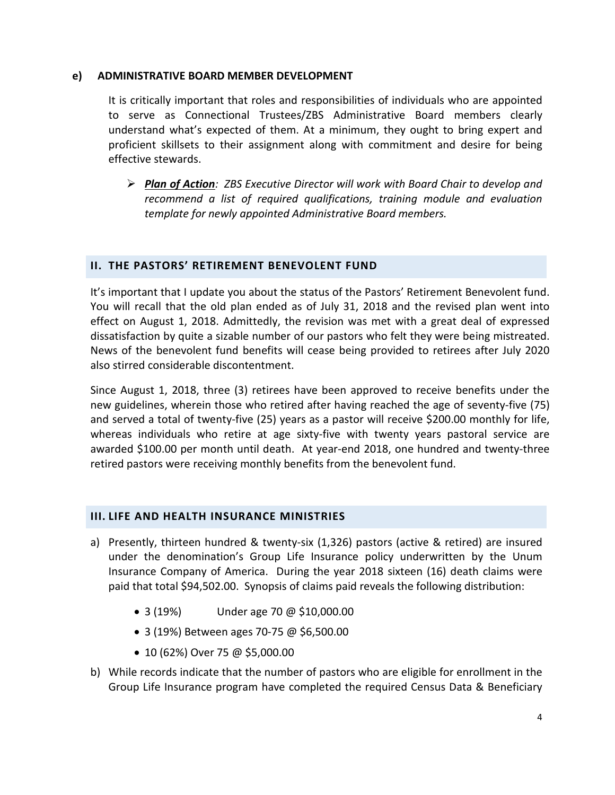#### **e) ADMINISTRATIVE BOARD MEMBER DEVELOPMENT**

It is critically important that roles and responsibilities of individuals who are appointed to serve as Connectional Trustees/ZBS Administrative Board members clearly understand what's expected of them. At a minimum, they ought to bring expert and proficient skillsets to their assignment along with commitment and desire for being effective stewards.

 *Plan of Action: ZBS Executive Director will work with Board Chair to develop and recommend a list of required qualifications, training module and evaluation template for newly appointed Administrative Board members.* 

#### **II. THE PASTORS' RETIREMENT BENEVOLENT FUND**

It's important that I update you about the status of the Pastors' Retirement Benevolent fund. You will recall that the old plan ended as of July 31, 2018 and the revised plan went into effect on August 1, 2018. Admittedly, the revision was met with a great deal of expressed dissatisfaction by quite a sizable number of our pastors who felt they were being mistreated. News of the benevolent fund benefits will cease being provided to retirees after July 2020 also stirred considerable discontentment.

Since August 1, 2018, three (3) retirees have been approved to receive benefits under the new guidelines, wherein those who retired after having reached the age of seventy-five (75) and served a total of twenty-five (25) years as a pastor will receive \$200.00 monthly for life, whereas individuals who retire at age sixty-five with twenty years pastoral service are awarded \$100.00 per month until death. At year-end 2018, one hundred and twenty-three retired pastors were receiving monthly benefits from the benevolent fund.

#### **III. LIFE AND HEALTH INSURANCE MINISTRIES**

- a) Presently, thirteen hundred & twenty-six (1,326) pastors (active & retired) are insured under the denomination's Group Life Insurance policy underwritten by the Unum Insurance Company of America. During the year 2018 sixteen (16) death claims were paid that total \$94,502.00. Synopsis of claims paid reveals the following distribution:
	- 3 (19%) Under age 70 @ \$10,000.00
	- 3 (19%) Between ages 70-75 @ \$6,500.00
	- 10 (62%) Over 75 @ \$5,000.00
- b) While records indicate that the number of pastors who are eligible for enrollment in the Group Life Insurance program have completed the required Census Data & Beneficiary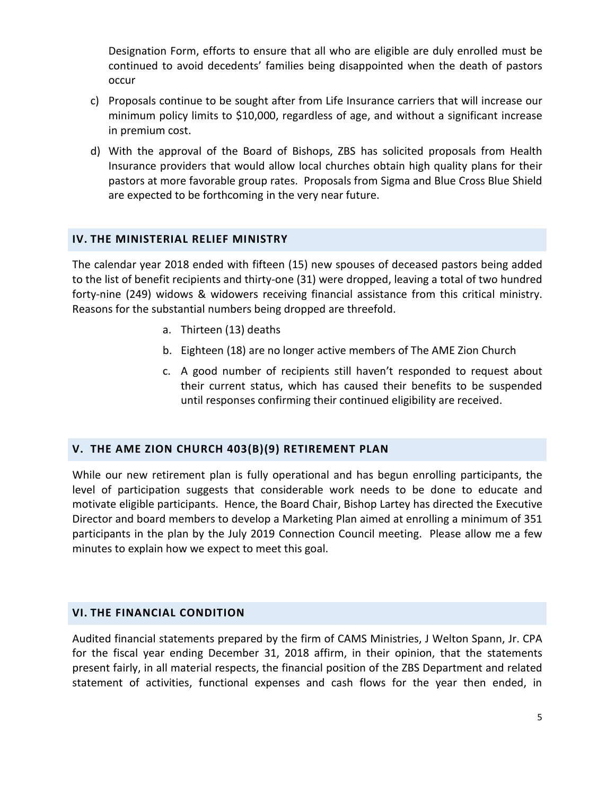Designation Form, efforts to ensure that all who are eligible are duly enrolled must be continued to avoid decedents' families being disappointed when the death of pastors occur

- c) Proposals continue to be sought after from Life Insurance carriers that will increase our minimum policy limits to \$10,000, regardless of age, and without a significant increase in premium cost.
- d) With the approval of the Board of Bishops, ZBS has solicited proposals from Health Insurance providers that would allow local churches obtain high quality plans for their pastors at more favorable group rates. Proposals from Sigma and Blue Cross Blue Shield are expected to be forthcoming in the very near future.

#### **IV. THE MINISTERIAL RELIEF MINISTRY**

The calendar year 2018 ended with fifteen (15) new spouses of deceased pastors being added to the list of benefit recipients and thirty-one (31) were dropped, leaving a total of two hundred forty-nine (249) widows & widowers receiving financial assistance from this critical ministry. Reasons for the substantial numbers being dropped are threefold.

- a. Thirteen (13) deaths
- b. Eighteen (18) are no longer active members of The AME Zion Church
- c. A good number of recipients still haven't responded to request about their current status, which has caused their benefits to be suspended until responses confirming their continued eligibility are received.

### **V. THE AME ZION CHURCH 403(B)(9) RETIREMENT PLAN**

While our new retirement plan is fully operational and has begun enrolling participants, the level of participation suggests that considerable work needs to be done to educate and motivate eligible participants. Hence, the Board Chair, Bishop Lartey has directed the Executive Director and board members to develop a Marketing Plan aimed at enrolling a minimum of 351 participants in the plan by the July 2019 Connection Council meeting. Please allow me a few minutes to explain how we expect to meet this goal.

#### **VI. THE FINANCIAL CONDITION**

Audited financial statements prepared by the firm of CAMS Ministries, J Welton Spann, Jr. CPA for the fiscal year ending December 31, 2018 affirm, in their opinion, that the statements present fairly, in all material respects, the financial position of the ZBS Department and related statement of activities, functional expenses and cash flows for the year then ended, in